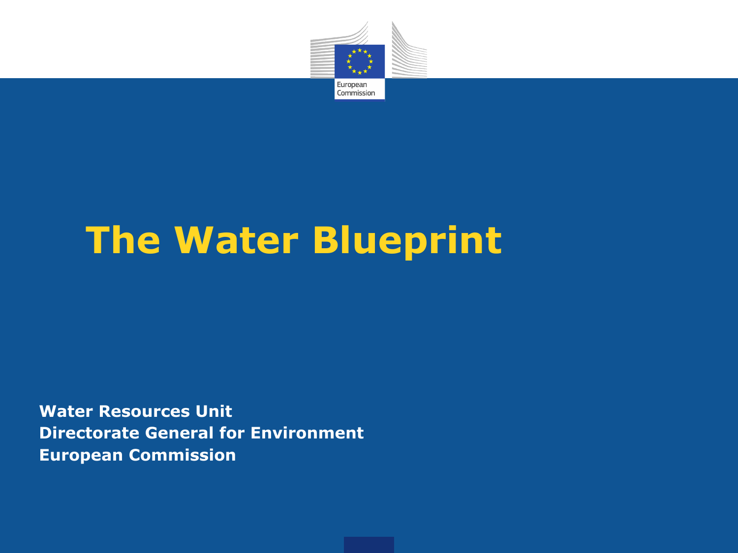

# **The Water Blueprint**

**Water Resources Unit Directorate General for Environment European Commission**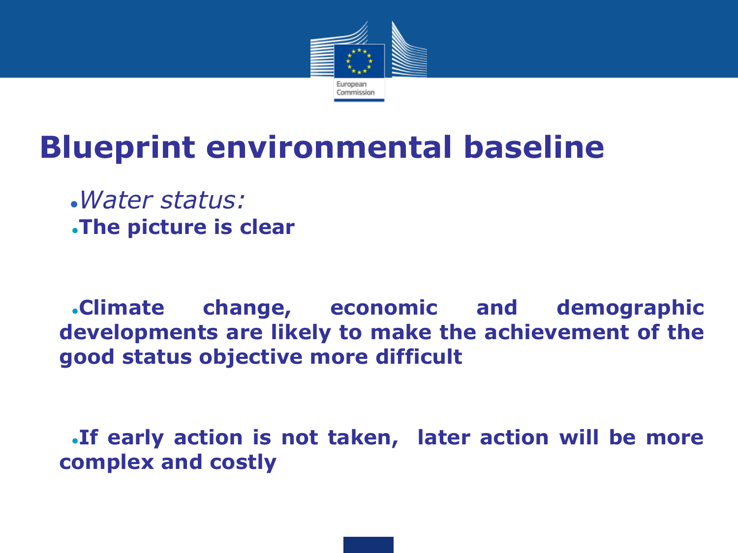

#### **Blueprint environmental baseline**

●*Water status:* ●**The picture is clear**

●**Climate change, economic and demographic developments are likely to make the achievement of the good status objective more difficult**

**If early action is not taken, later action will be more complex and costly**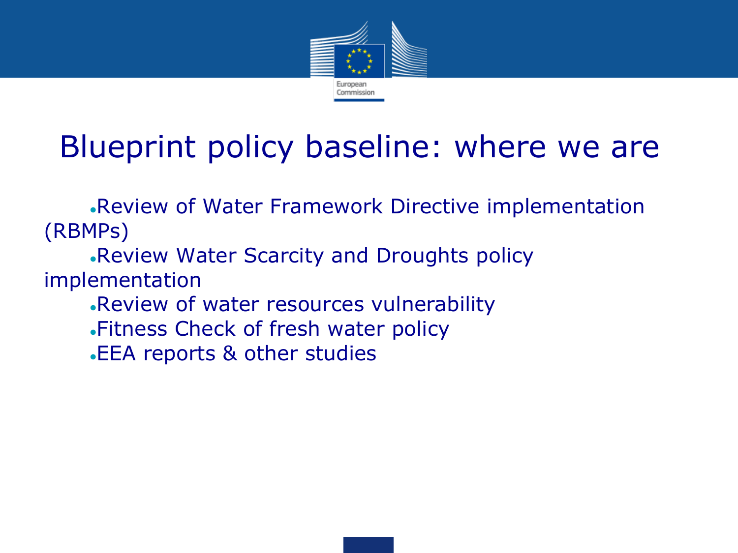

#### Blueprint policy baseline: where we are

•Review of Water Framework Directive implementation (RBMPs)

•Review Water Scarcity and Droughts policy implementation

- . Review of water resources vulnerability
- •Fitness Check of fresh water policy
- •EEA reports & other studies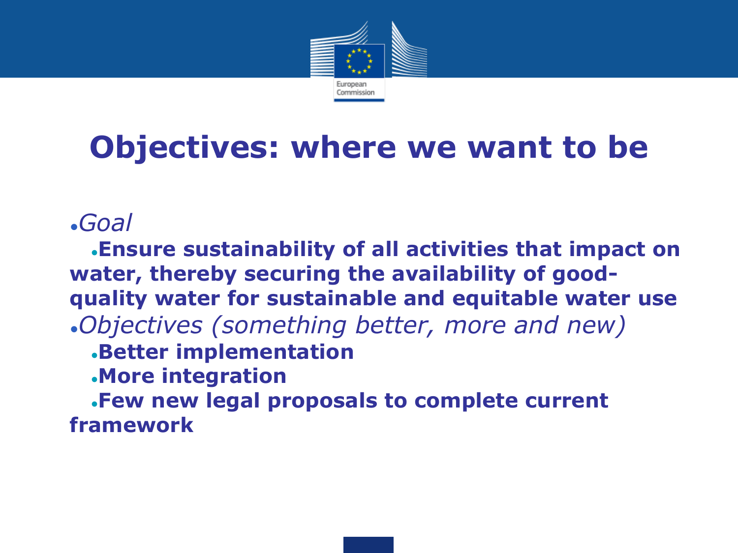

## **Objectives: where we want to be**

#### ●*Goal*

●**Ensure sustainability of all activities that impact on water, thereby securing the availability of goodquality water for sustainable and equitable water use** ●*Objectives (something better, more and new)*

#### ●**Better implementation**

●**More integration**

●**Few new legal proposals to complete current framework**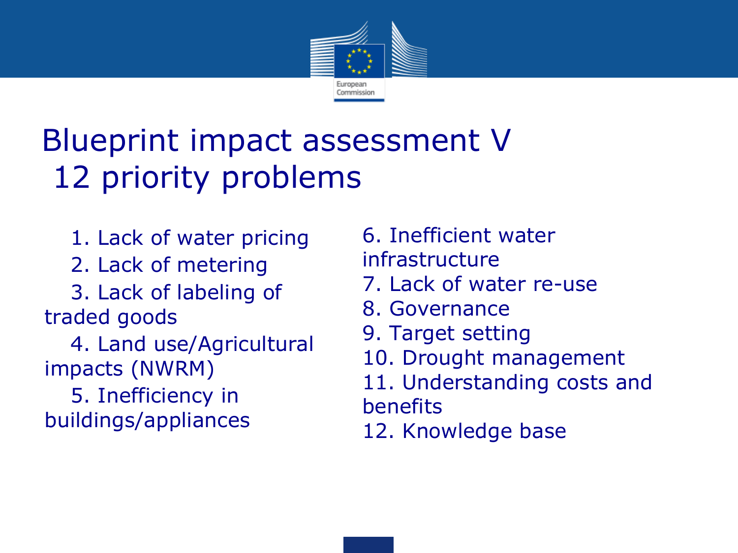

#### Blueprint impact assessment V 12 priority problems

- 1. Lack of water pricing
- 2. Lack of metering
- 3. Lack of labeling of traded goods
- 4. Land use/Agricultural impacts (NWRM)
- 5. Inefficiency in buildings/appliances
- 6. Inefficient water infrastructure
- 7. Lack of water re-use
- 8. Governance
- 9. Target setting
- 10. Drought management
- 11. Understanding costs and benefits
- 12. Knowledge base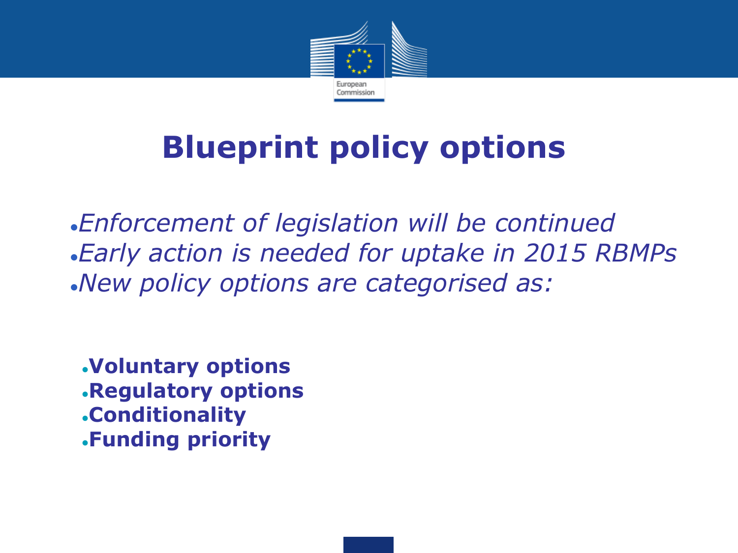

## **Blueprint policy options**

●*Enforcement of legislation will be continued* ●*Early action is needed for uptake in 2015 RBMPs* ●*New policy options are categorised as:*

●**Voluntary options** ●**Regulatory options** ●**Conditionality** ●**Funding priority**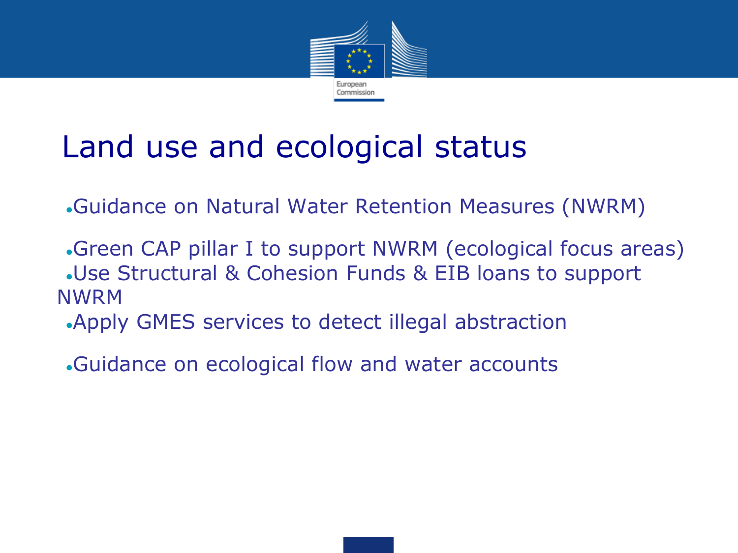

#### Land use and ecological status

- ●Guidance on Natural Water Retention Measures (NWRM)
- •Green CAP pillar I to support NWRM (ecological focus areas) .Use Structural & Cohesion Funds & EIB loans to support NWRM
	- •Apply GMES services to detect illegal abstraction
	- •Guidance on ecological flow and water accounts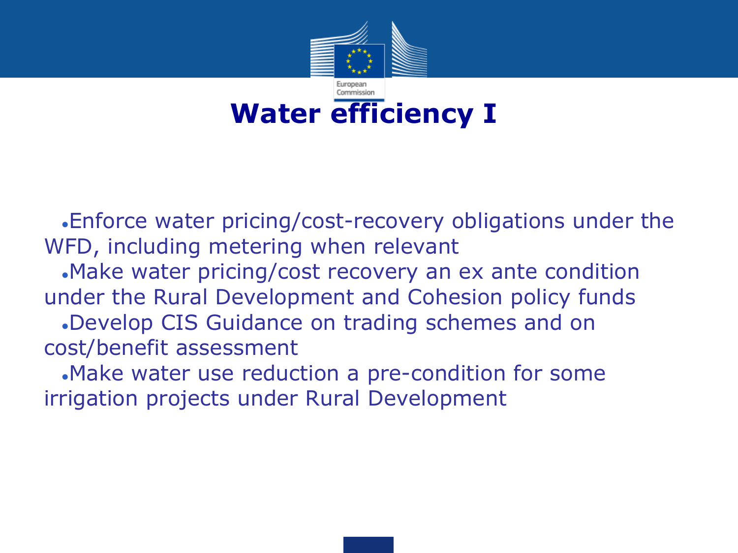

•Enforce water pricing/cost-recovery obligations under the WFD, including metering when relevant

•Make water pricing/cost recovery an ex ante condition under the Rural Development and Cohesion policy funds

•Develop CIS Guidance on trading schemes and on cost/benefit assessment

•Make water use reduction a pre-condition for some irrigation projects under Rural Development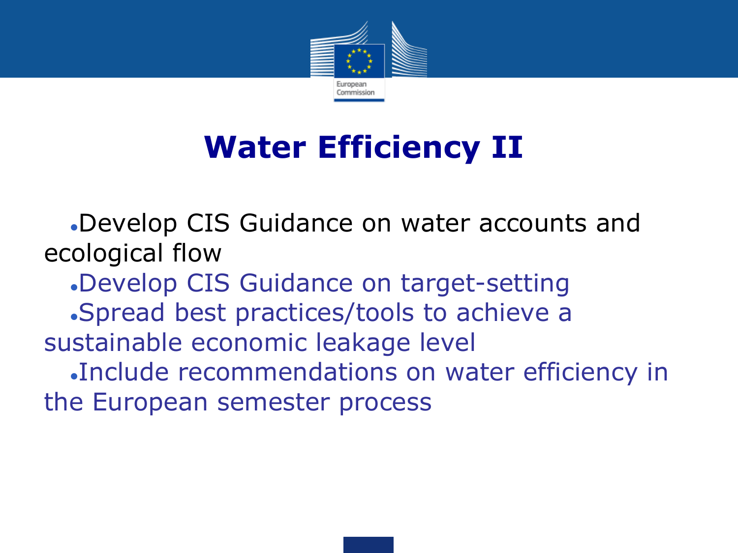

## **Water Efficiency II**

●Develop CIS Guidance on water accounts and ecological flow

●Develop CIS Guidance on target-setting

●Spread best practices/tools to achieve a

sustainable economic leakage level

●Include recommendations on water efficiency in the European semester process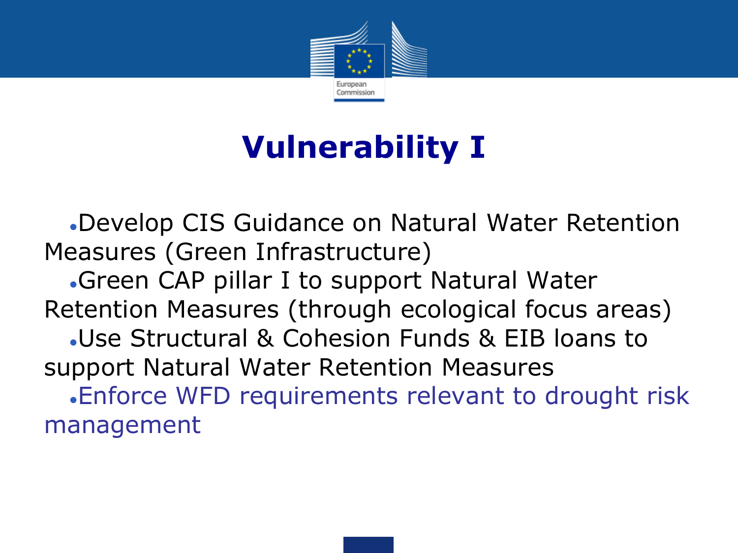

#### **Vulnerability I**

●Develop CIS Guidance on Natural Water Retention Measures (Green Infrastructure)

•Green CAP pillar I to support Natural Water Retention Measures (through ecological focus areas) ●Use Structural & Cohesion Funds & EIB loans to support Natural Water Retention Measures •Enforce WFD requirements relevant to drought risk management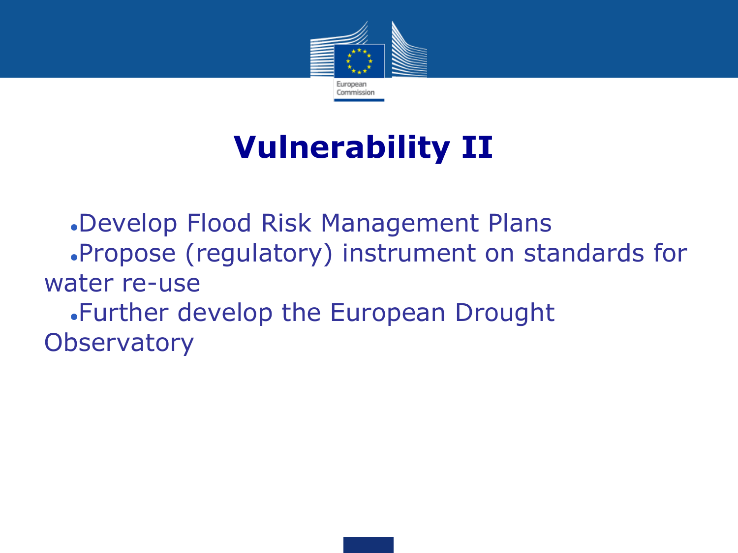

## **Vulnerability II**

●Develop Flood Risk Management Plans ●Propose (regulatory) instrument on standards for water re-use ●Further develop the European Drought **Observatory**